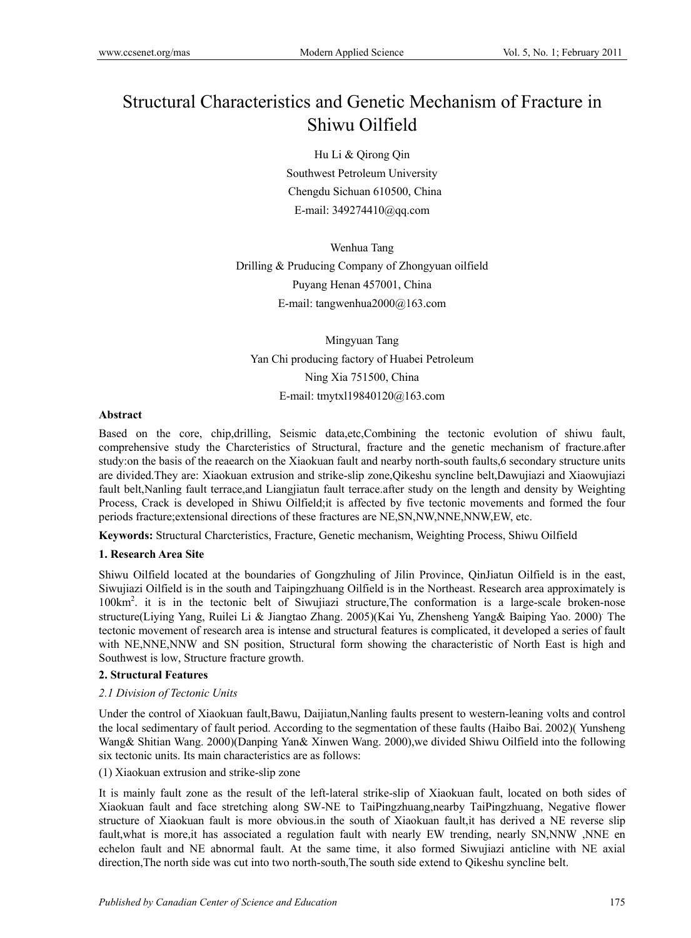# Structural Characteristics and Genetic Mechanism of Fracture in Shiwu Oilfield

Hu Li & Qirong Qin

Southwest Petroleum University Chengdu Sichuan 610500, China E-mail: 349274410@qq.com

Wenhua Tang Drilling & Pruducing Company of Zhongyuan oilfield Puyang Henan 457001, China E-mail: tangwenhua2000@163.com

Mingyuan Tang Yan Chi producing factory of Huabei Petroleum Ning Xia 751500, China E-mail: tmytxl19840120@163.com

## **Abstract**

Based on the core, chip,drilling, Seismic data,etc,Combining the tectonic evolution of shiwu fault, comprehensive study the Charcteristics of Structural, fracture and the genetic mechanism of fracture.after study:on the basis of the reaearch on the Xiaokuan fault and nearby north-south faults,6 secondary structure units are divided.They are: Xiaokuan extrusion and strike-slip zone,Qikeshu syncline belt,Dawujiazi and Xiaowujiazi fault belt,Nanling fault terrace,and Liangjiatun fault terrace.after study on the length and density by Weighting Process, Crack is developed in Shiwu Oilfield;it is affected by five tectonic movements and formed the four periods fracture;extensional directions of these fractures are NE,SN,NW,NNE,NNW,EW, etc.

**Keywords:** Structural Charcteristics, Fracture, Genetic mechanism, Weighting Process, Shiwu Oilfield

## **1. Research Area Site**

Shiwu Oilfield located at the boundaries of Gongzhuling of Jilin Province, QinJiatun Oilfield is in the east, Siwujiazi Oilfield is in the south and Taipingzhuang Oilfield is in the Northeast. Research area approximately is 100km2 . it is in the tectonic belt of Siwujiazi structure,The conformation is a large-scale broken-nose structure(Liying Yang, Ruilei Li & Jiangtao Zhang. 2005)(Kai Yu, Zhensheng Yang& Baiping Yao. 2000) The tectonic movement of research area is intense and structural features is complicated, it developed a series of fault with NE,NNE,NNW and SN position, Structural form showing the characteristic of North East is high and Southwest is low, Structure fracture growth.

## **2. Structural Features**

#### *2.1 Division of Tectonic Units*

Under the control of Xiaokuan fault,Bawu, Daijiatun,Nanling faults present to western-leaning volts and control the local sedimentary of fault period. According to the segmentation of these faults (Haibo Bai. 2002)( Yunsheng Wang& Shitian Wang. 2000)(Danping Yan& Xinwen Wang. 2000),we divided Shiwu Oilfield into the following six tectonic units. Its main characteristics are as follows:

## (1) Xiaokuan extrusion and strike-slip zone

It is mainly fault zone as the result of the left-lateral strike-slip of Xiaokuan fault, located on both sides of Xiaokuan fault and face stretching along SW-NE to TaiPingzhuang,nearby TaiPingzhuang, Negative flower structure of Xiaokuan fault is more obvious.in the south of Xiaokuan fault,it has derived a NE reverse slip fault,what is more,it has associated a regulation fault with nearly EW trending, nearly SN,NNW ,NNE en echelon fault and NE abnormal fault. At the same time, it also formed Siwujiazi anticline with NE axial direction,The north side was cut into two north-south,The south side extend to Qikeshu syncline belt.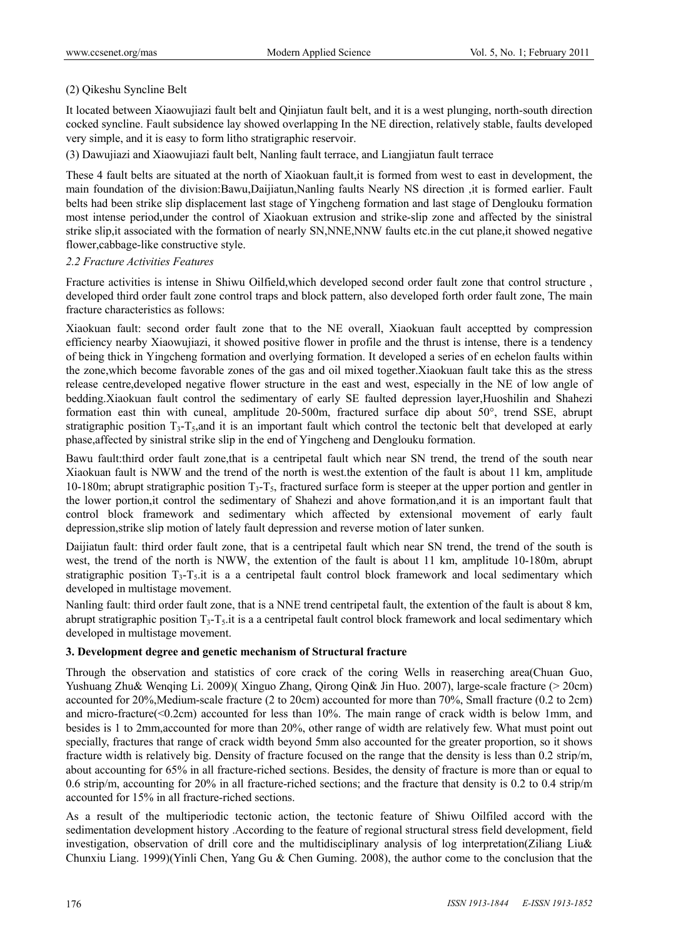# (2) Qikeshu Syncline Belt

It located between Xiaowujiazi fault belt and Qinjiatun fault belt, and it is a west plunging, north-south direction cocked syncline. Fault subsidence lay showed overlapping In the NE direction, relatively stable, faults developed very simple, and it is easy to form litho stratigraphic reservoir.

(3) Dawujiazi and Xiaowujiazi fault belt, Nanling fault terrace, and Liangjiatun fault terrace

These 4 fault belts are situated at the north of Xiaokuan fault,it is formed from west to east in development, the main foundation of the division:Bawu,Daijiatun,Nanling faults Nearly NS direction ,it is formed earlier. Fault belts had been strike slip displacement last stage of Yingcheng formation and last stage of Denglouku formation most intense period,under the control of Xiaokuan extrusion and strike-slip zone and affected by the sinistral strike slip, it associated with the formation of nearly SN,NNE,NNW faults etc.in the cut plane, it showed negative flower,cabbage-like constructive style.

## *2.2 Fracture Activities Features*

Fracture activities is intense in Shiwu Oilfield,which developed second order fault zone that control structure , developed third order fault zone control traps and block pattern, also developed forth order fault zone, The main fracture characteristics as follows:

Xiaokuan fault: second order fault zone that to the NE overall, Xiaokuan fault acceptted by compression efficiency nearby Xiaowujiazi, it showed positive flower in profile and the thrust is intense, there is a tendency of being thick in Yingcheng formation and overlying formation. It developed a series of en echelon faults within the zone,which become favorable zones of the gas and oil mixed together.Xiaokuan fault take this as the stress release centre,developed negative flower structure in the east and west, especially in the NE of low angle of bedding.Xiaokuan fault control the sedimentary of early SE faulted depression layer,Huoshilin and Shahezi formation east thin with cuneal, amplitude 20-500m, fractured surface dip about 50°, trend SSE, abrupt stratigraphic position  $T_3$ - $T_5$ , and it is an important fault which control the tectonic belt that developed at early phase,affected by sinistral strike slip in the end of Yingcheng and Denglouku formation.

Bawu fault:third order fault zone,that is a centripetal fault which near SN trend, the trend of the south near Xiaokuan fault is NWW and the trend of the north is west.the extention of the fault is about 11 km, amplitude 10-180m; abrupt stratigraphic position  $T_3$ - $T_5$ , fractured surface form is steeper at the upper portion and gentler in the lower portion,it control the sedimentary of Shahezi and ahove formation,and it is an important fault that control block framework and sedimentary which affected by extensional movement of early fault depression,strike slip motion of lately fault depression and reverse motion of later sunken.

Daijiatun fault: third order fault zone, that is a centripetal fault which near SN trend, the trend of the south is west, the trend of the north is NWW, the extention of the fault is about 11 km, amplitude 10-180m, abrupt stratigraphic position  $T_3$ - $T_5$ .it is a a centripetal fault control block framework and local sedimentary which developed in multistage movement.

Nanling fault: third order fault zone, that is a NNE trend centripetal fault, the extention of the fault is about 8 km, abrupt stratigraphic position  $T_3$ - $T_5$ .it is a a centripetal fault control block framework and local sedimentary which developed in multistage movement.

#### **3. Development degree and genetic mechanism of Structural fracture**

Through the observation and statistics of core crack of the coring Wells in reaserching area(Chuan Guo, Yushuang Zhu& Wenqing Li. 2009)( Xinguo Zhang, Qirong Qin& Jin Huo. 2007), large-scale fracture (> 20cm) accounted for 20%,Medium-scale fracture (2 to 20cm) accounted for more than 70%, Small fracture (0.2 to 2cm) and micro-fracture(<0.2cm) accounted for less than 10%. The main range of crack width is below 1mm, and besides is 1 to 2mm,accounted for more than 20%, other range of width are relatively few. What must point out specially, fractures that range of crack width beyond 5mm also accounted for the greater proportion, so it shows fracture width is relatively big. Density of fracture focused on the range that the density is less than 0.2 strip/m, about accounting for 65% in all fracture-riched sections. Besides, the density of fracture is more than or equal to 0.6 strip/m, accounting for 20% in all fracture-riched sections; and the fracture that density is 0.2 to 0.4 strip/m accounted for 15% in all fracture-riched sections.

As a result of the multiperiodic tectonic action, the tectonic feature of Shiwu Oilfiled accord with the sedimentation development history .According to the feature of regional structural stress field development, field investigation, observation of drill core and the multidisciplinary analysis of log interpretation(Ziliang Liu& Chunxiu Liang. 1999)(Yinli Chen, Yang Gu & Chen Guming. 2008), the author come to the conclusion that the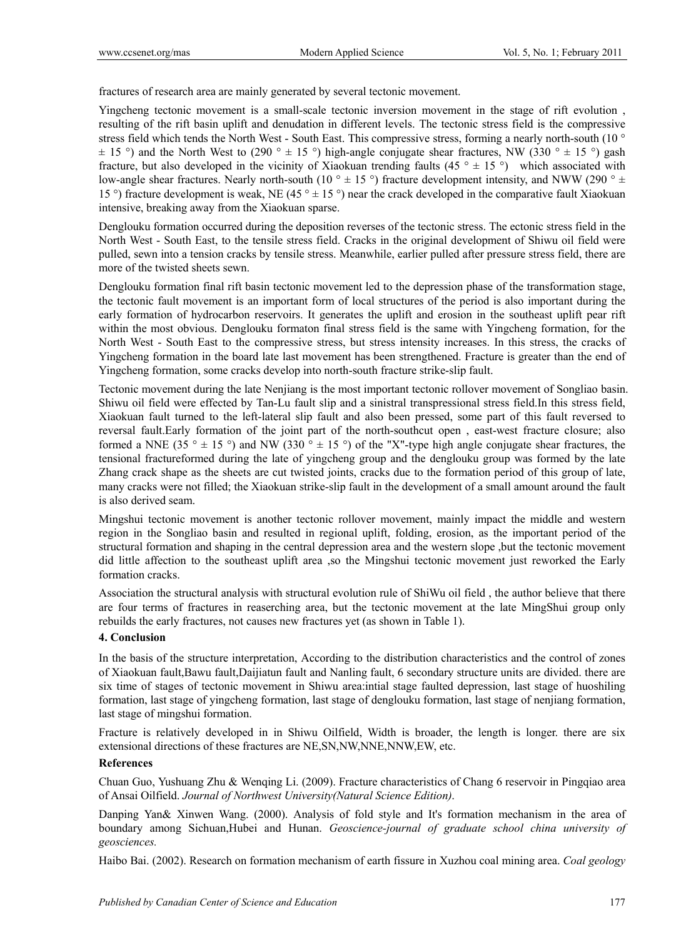fractures of research area are mainly generated by several tectonic movement.

Yingcheng tectonic movement is a small-scale tectonic inversion movement in the stage of rift evolution , resulting of the rift basin uplift and denudation in different levels. The tectonic stress field is the compressive stress field which tends the North West - South East. This compressive stress, forming a nearly north-south (10 °  $\pm$  15<sup>o</sup>) and the North West to (290<sup>o</sup>  $\pm$  15<sup>o</sup>) high-angle conjugate shear fractures, NW (330<sup>o</sup>  $\pm$  15<sup>o</sup>) gash fracture, but also developed in the vicinity of Xiaokuan trending faults  $(45 \degree \pm 15 \degree)$  which associated with low-angle shear fractures. Nearly north-south (10  $\degree$  ± 15  $\degree$ ) fracture development intensity, and NWW (290  $\degree$  ± 15<sup>°</sup>) fracture development is weak, NE (45<sup>°</sup>  $\pm$  15<sup>°</sup>) near the crack developed in the comparative fault Xiaokuan intensive, breaking away from the Xiaokuan sparse.

Denglouku formation occurred during the deposition reverses of the tectonic stress. The ectonic stress field in the North West - South East, to the tensile stress field. Cracks in the original development of Shiwu oil field were pulled, sewn into a tension cracks by tensile stress. Meanwhile, earlier pulled after pressure stress field, there are more of the twisted sheets sewn.

Denglouku formation final rift basin tectonic movement led to the depression phase of the transformation stage, the tectonic fault movement is an important form of local structures of the period is also important during the early formation of hydrocarbon reservoirs. It generates the uplift and erosion in the southeast uplift pear rift within the most obvious. Denglouku formaton final stress field is the same with Yingcheng formation, for the North West - South East to the compressive stress, but stress intensity increases. In this stress, the cracks of Yingcheng formation in the board late last movement has been strengthened. Fracture is greater than the end of Yingcheng formation, some cracks develop into north-south fracture strike-slip fault.

Tectonic movement during the late Nenjiang is the most important tectonic rollover movement of Songliao basin. Shiwu oil field were effected by Tan-Lu fault slip and a sinistral transpressional stress field.In this stress field, Xiaokuan fault turned to the left-lateral slip fault and also been pressed, some part of this fault reversed to reversal fault.Early formation of the joint part of the north-southcut open , east-west fracture closure; also formed a NNE (35 °  $\pm$  15 °) and NW (330 °  $\pm$  15 °) of the "X"-type high angle conjugate shear fractures, the tensional fractureformed during the late of yingcheng group and the denglouku group was formed by the late Zhang crack shape as the sheets are cut twisted joints, cracks due to the formation period of this group of late, many cracks were not filled; the Xiaokuan strike-slip fault in the development of a small amount around the fault is also derived seam.

Mingshui tectonic movement is another tectonic rollover movement, mainly impact the middle and western region in the Songliao basin and resulted in regional uplift, folding, erosion, as the important period of the structural formation and shaping in the central depression area and the western slope ,but the tectonic movement did little affection to the southeast uplift area ,so the Mingshui tectonic movement just reworked the Early formation cracks.

Association the structural analysis with structural evolution rule of ShiWu oil field , the author believe that there are four terms of fractures in reaserching area, but the tectonic movement at the late MingShui group only rebuilds the early fractures, not causes new fractures yet (as shown in Table 1).

# **4. Conclusion**

In the basis of the structure interpretation, According to the distribution characteristics and the control of zones of Xiaokuan fault,Bawu fault,Daijiatun fault and Nanling fault, 6 secondary structure units are divided. there are six time of stages of tectonic movement in Shiwu area:intial stage faulted depression, last stage of huoshiling formation, last stage of yingcheng formation, last stage of denglouku formation, last stage of nenjiang formation, last stage of mingshui formation.

Fracture is relatively developed in in Shiwu Oilfield, Width is broader, the length is longer. there are six extensional directions of these fractures are NE,SN,NW,NNE,NNW,EW, etc.

# **References**

Chuan Guo, Yushuang Zhu & Wenqing Li. (2009). Fracture characteristics of Chang 6 reservoir in Pingqiao area of Ansai Oilfield. *Journal of Northwest University(Natural Science Edition)*.

Danping Yan& Xinwen Wang. (2000). Analysis of fold style and It's formation mechanism in the area of boundary among Sichuan,Hubei and Hunan. *Geoscience-journal of graduate school china university of geosciences.* 

Haibo Bai. (2002). Research on formation mechanism of earth fissure in Xuzhou coal mining area. *Coal geology*